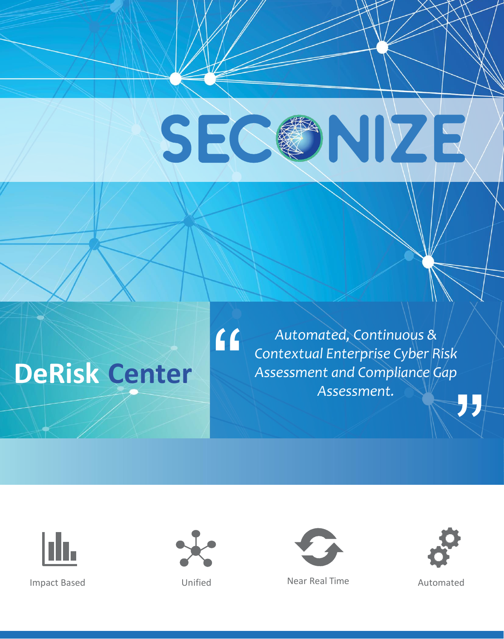# SEC INIZE

## **DeRisk Center**

" *Automated, Continuous & Contextual Enterprise Cyber Risk Assessment and Compliance Gap Assessment.*





 $\Omega$ 



Impact Based **Near Real Time** Automated Constanting Mear Real Time

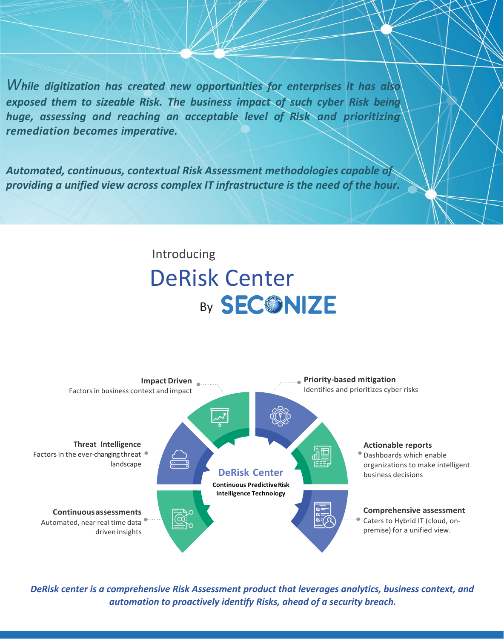*While digitization has created new opportunities for enterprises it has also exposed them to sizeable Risk. The business impact of such cyber Risk being huge, assessing and reaching an acceptable level of Risk and prioritizing remediation becomes imperative.*

*Automated, continuous, contextual Risk Assessment methodologies capable of providing a unified view across complex IT infrastructure is the need of the hour.*

### Introducing DeRisk Center By **SECONIZE**



*DeRisk center is a comprehensive Risk Assessment product that leverages analytics, business context, and automation to proactively identify Risks, ahead of a security breach.*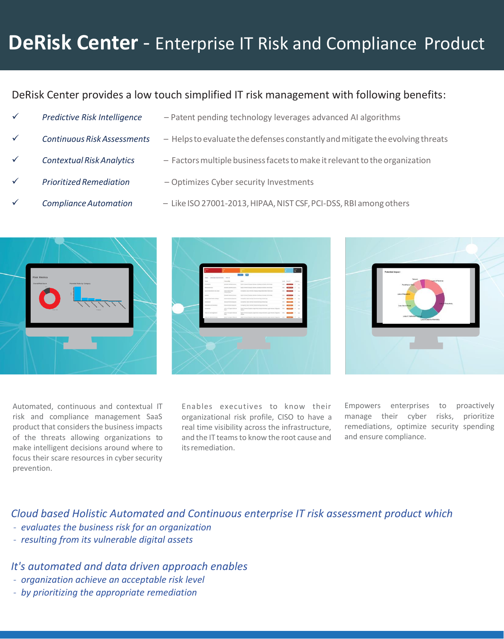### **DeRisk Center** - Enterprise IT Risk and Compliance Product

#### DeRisk Center provides a low touch simplified IT risk management with following benefits:

- 
- 
- 
- 
- 
- ✓ *Predictive Risk Intelligence* Patent pending technology leverages advanced AI algorithms
- Continuous Risk Assessments Helps to evaluate the defenses constantly and mitigate the evolving threats
- Contextual Risk Analytics Factors multiple business facets to make it relevant to the organization
- **Prioritized Remediation** Optimizes Cyber security Investments
- ✓ *ComplianceAutomation* Like ISO27001-2013,HIPAA,NIST CSF,PCI-DSS,RBI amongothers







Automated, continuous and contextual IT risk and compliance management SaaS product that considers the business impacts of the threats allowing organizations to make intelligent decisions around where to focus their scare resources in cyber security prevention.

Enables executives to know their organizational risk profile, CISO to have a real time visibility across the infrastructure, and the IT teamsto know the root cause and itsremediation.

Empowers enterprises to proactively manage their cyber risks, prioritize remediations, optimize security spending and ensure compliance.

*Cloud based Holistic Automated and Continuous enterprise IT risk assessment product which*

- *- evaluates the business risk for an organization*
- *- resulting from its vulnerable digital assets*

#### *It's automated and data driven approach enables*

- *- organization achieve an acceptable risk level*
- *- by prioritizing the appropriate remediation*